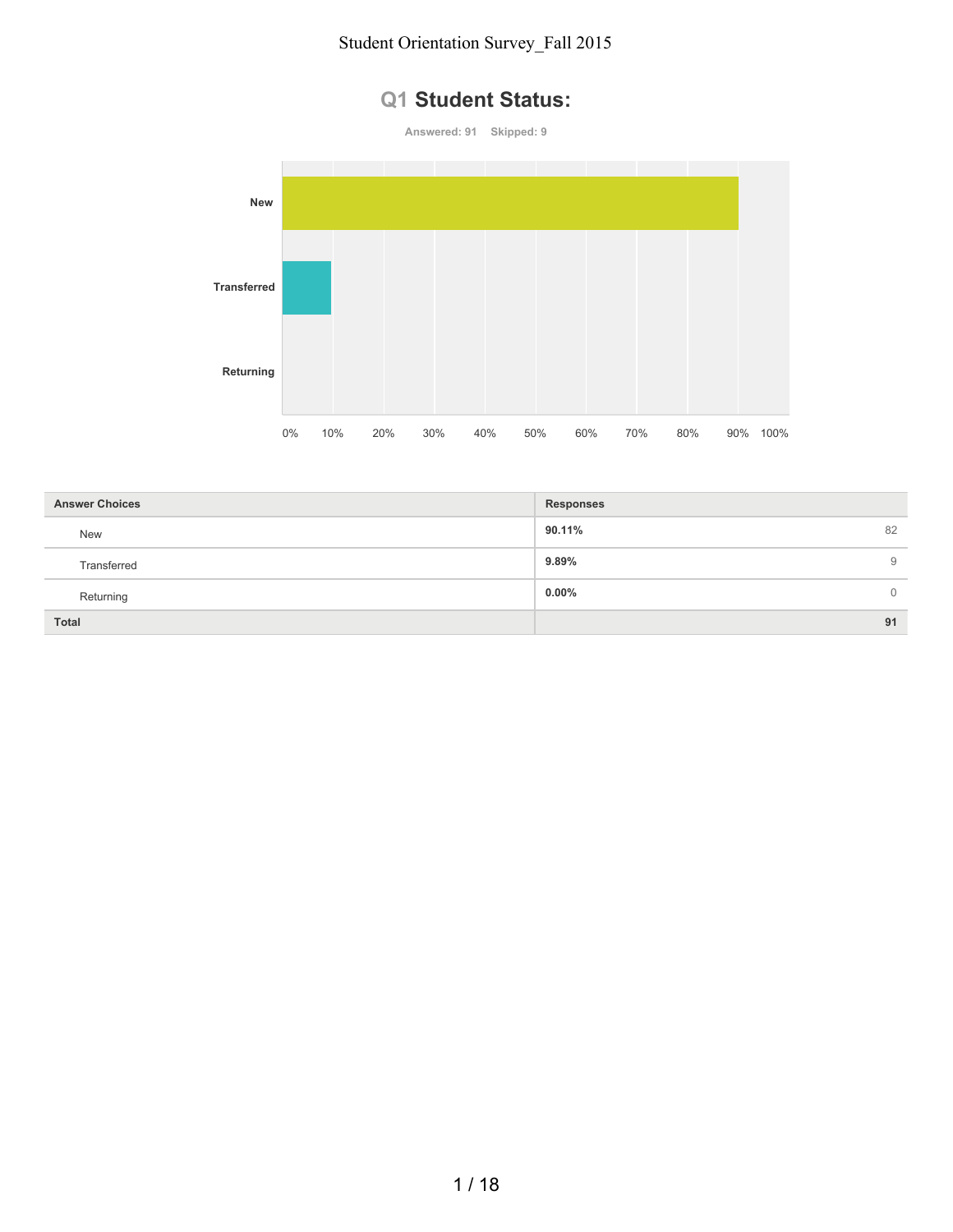#### **Q1 Student Status:**



| <b>Answer Choices</b> | <b>Responses</b>        |
|-----------------------|-------------------------|
| <b>New</b>            | 82<br>90.11%            |
| Transferred           | 9.89%<br>9              |
| Returning             | $0.00\%$<br>$\mathbf 0$ |
| <b>Total</b>          | 91                      |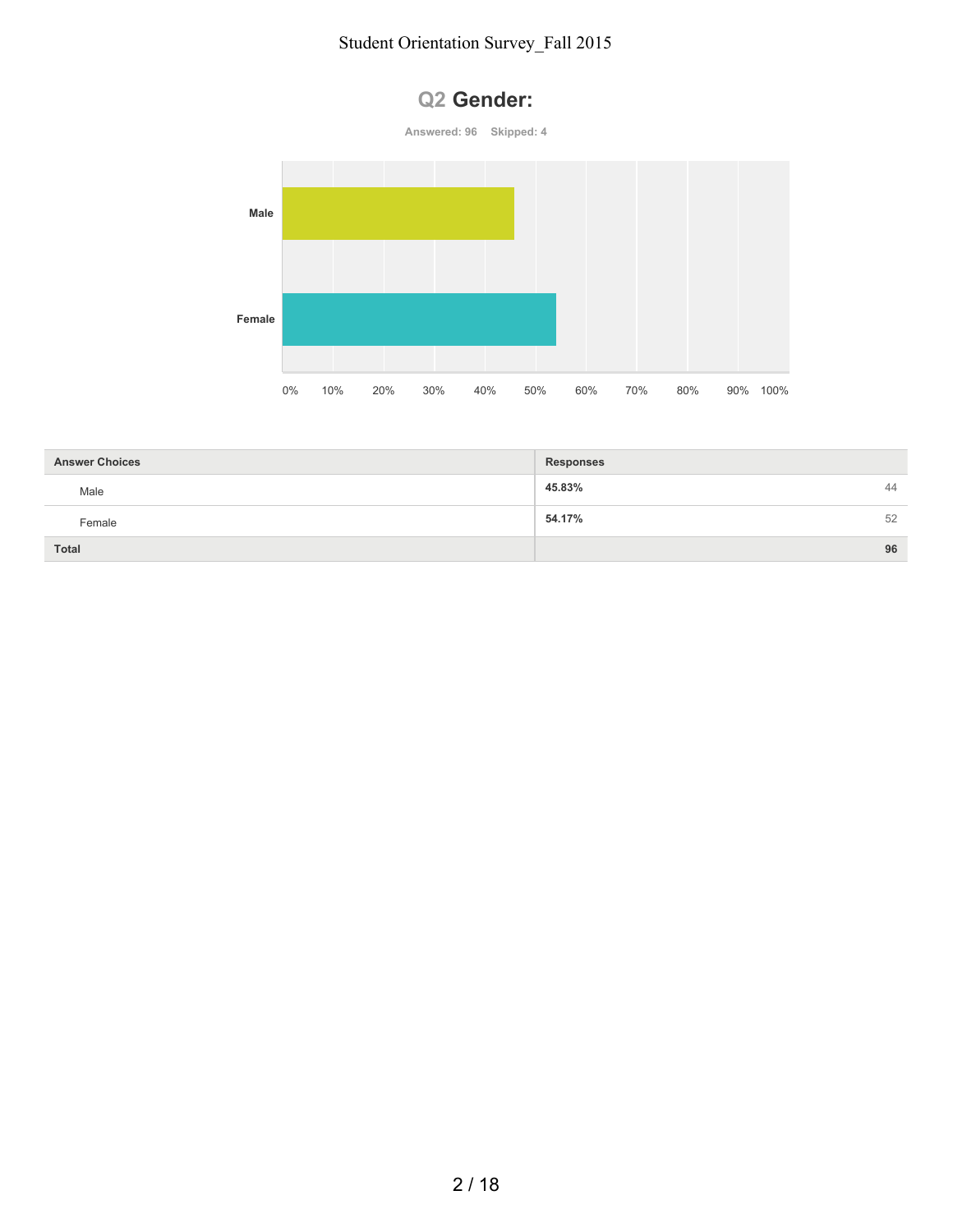



| <b>Answer Choices</b> | <b>Responses</b> |    |
|-----------------------|------------------|----|
| Male                  | 45.83%           | 44 |
| Female                | 54.17%           | 52 |
| Total                 |                  | 96 |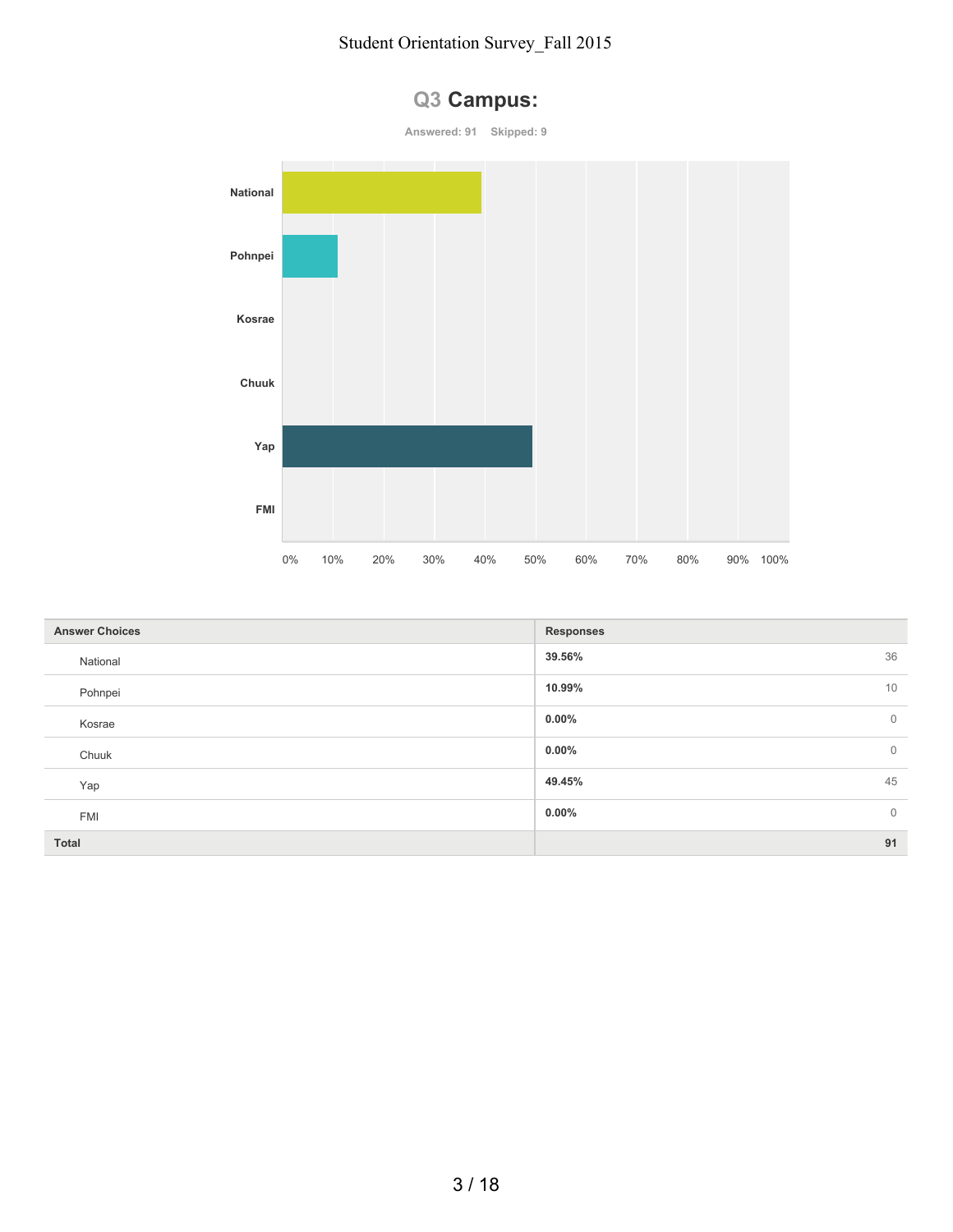

| Q3 Campus: |  |
|------------|--|
|------------|--|

| <b>Answer Choices</b> | <b>Responses</b>           |
|-----------------------|----------------------------|
| National              | 36<br>39.56%               |
| Pohnpei               | 10<br>10.99%               |
| Kosrae                | $0.00\%$<br>$\overline{0}$ |
| Chuuk                 | $0.00\%$<br>$\mathbf 0$    |
| Yap                   | 45<br>49.45%               |
| <b>FMI</b>            | $\mathbf 0$<br>$0.00\%$    |
| <b>Total</b>          | 91                         |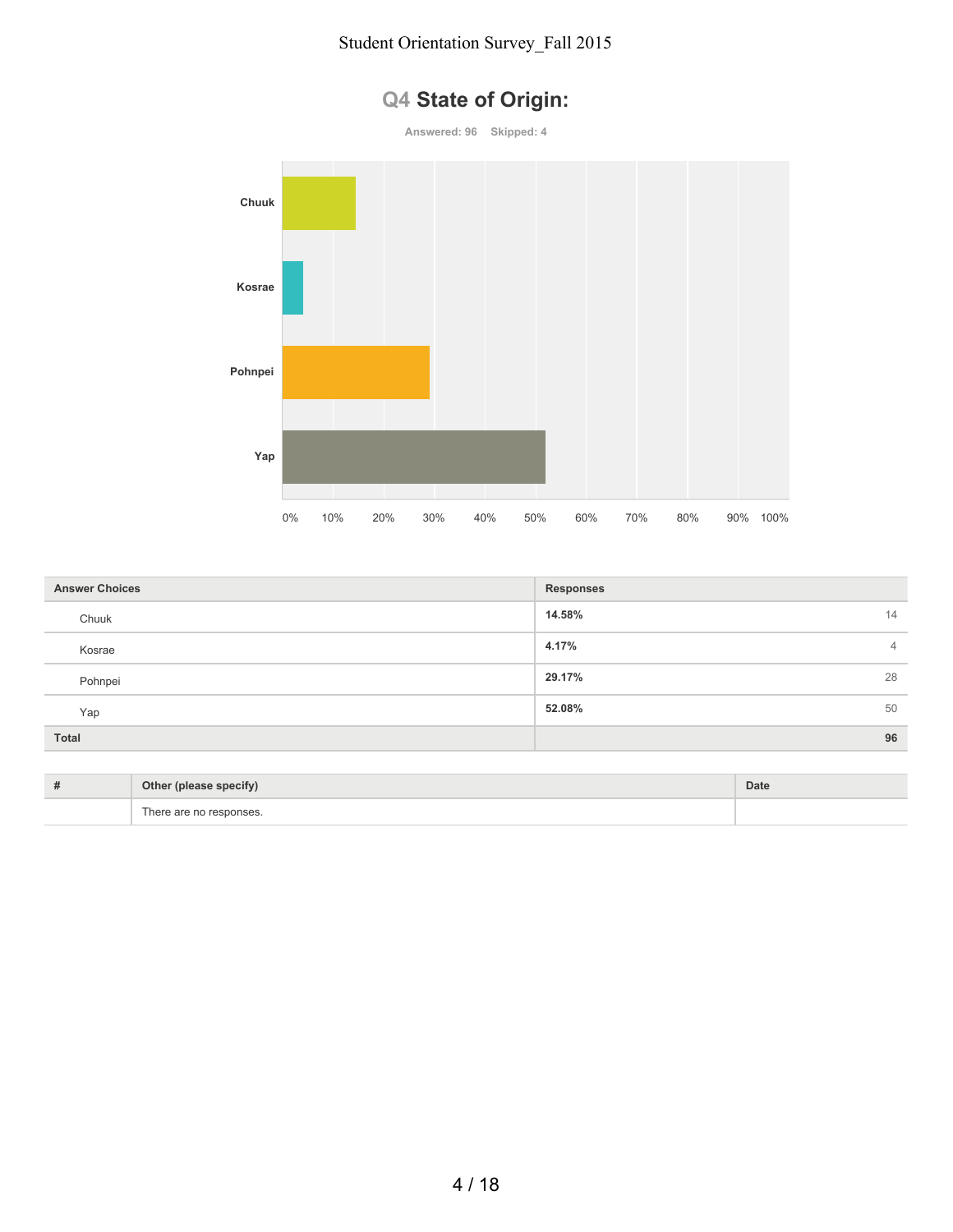

|  | Q4 State of Origin: |  |  |  |
|--|---------------------|--|--|--|
|--|---------------------|--|--|--|

| <b>Answer Choices</b> | <b>Responses</b> |
|-----------------------|------------------|
| Chuuk                 | 14.58%<br>14     |
| Kosrae                | 4.17%<br>4       |
| Pohnpei               | 29.17%<br>28     |
| Yap                   | 52.08%<br>50     |
| <b>Total</b>          | 96               |

| # | Other (please specify)   | Date |
|---|--------------------------|------|
|   | -<br>$^{\circ}$ ho.<br>. |      |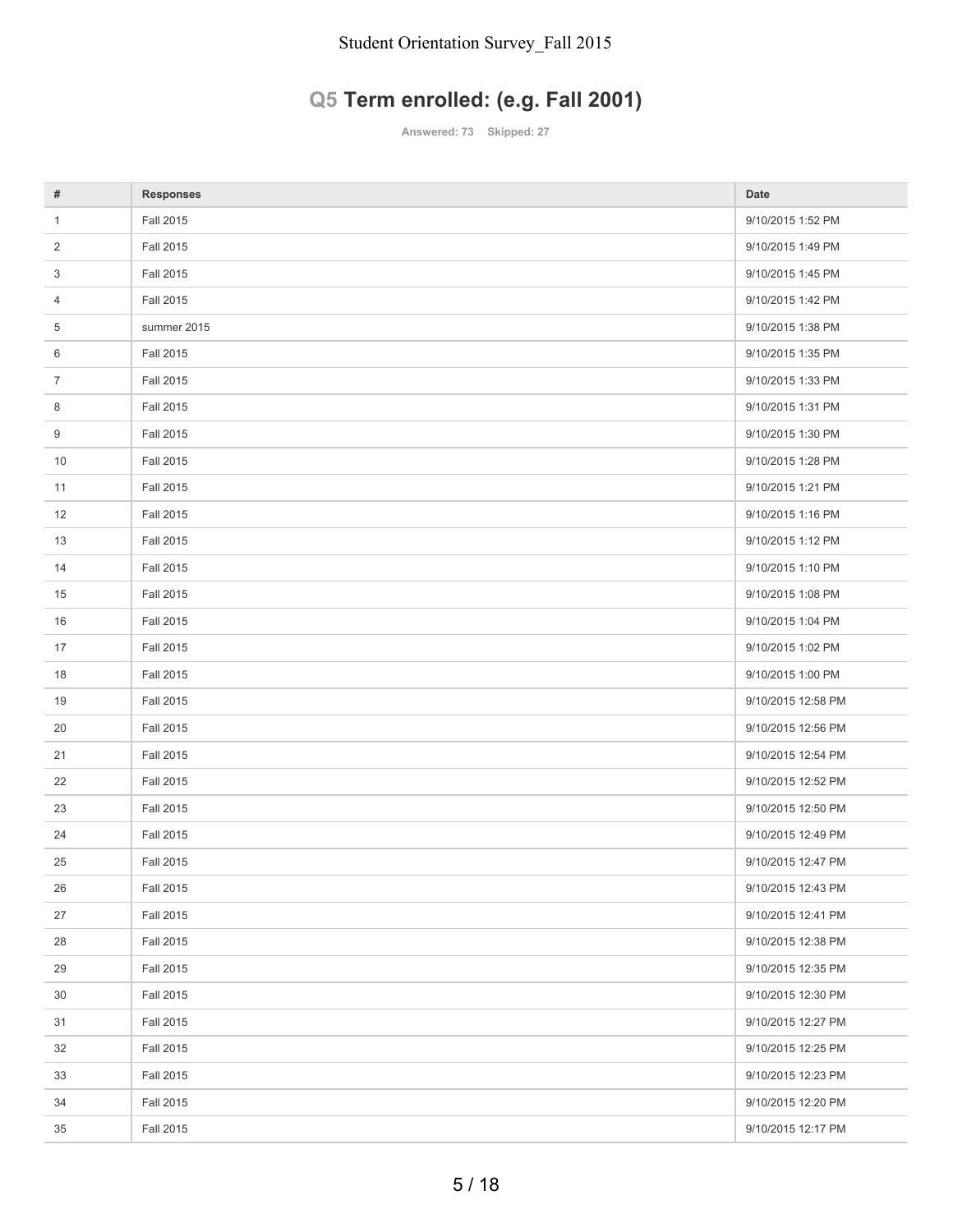# **Q5 Term enrolled: (e.g. Fall 2001)**

**Answered: 73 Skipped: 27**

| #              | <b>Responses</b> | Date               |
|----------------|------------------|--------------------|
| $\mathbf{1}$   | Fall 2015        | 9/10/2015 1:52 PM  |
| $\overline{2}$ | Fall 2015        | 9/10/2015 1:49 PM  |
| 3              | Fall 2015        | 9/10/2015 1:45 PM  |
| 4              | Fall 2015        | 9/10/2015 1:42 PM  |
| 5              | summer 2015      | 9/10/2015 1:38 PM  |
| 6              | <b>Fall 2015</b> | 9/10/2015 1:35 PM  |
| $\overline{7}$ | Fall 2015        | 9/10/2015 1:33 PM  |
| 8              | Fall 2015        | 9/10/2015 1:31 PM  |
| 9              | Fall 2015        | 9/10/2015 1:30 PM  |
| 10             | <b>Fall 2015</b> | 9/10/2015 1:28 PM  |
| 11             | Fall 2015        | 9/10/2015 1:21 PM  |
| 12             | Fall 2015        | 9/10/2015 1:16 PM  |
| 13             | Fall 2015        | 9/10/2015 1:12 PM  |
| 14             | Fall 2015        | 9/10/2015 1:10 PM  |
| 15             | Fall 2015        | 9/10/2015 1:08 PM  |
| 16             | Fall 2015        | 9/10/2015 1:04 PM  |
| 17             | <b>Fall 2015</b> | 9/10/2015 1:02 PM  |
| 18             | Fall 2015        | 9/10/2015 1:00 PM  |
| 19             | Fall 2015        | 9/10/2015 12:58 PM |
| 20             | Fall 2015        | 9/10/2015 12:56 PM |
| 21             | Fall 2015        | 9/10/2015 12:54 PM |
| 22             | Fall 2015        | 9/10/2015 12:52 PM |
| 23             | Fall 2015        | 9/10/2015 12:50 PM |
| 24             | <b>Fall 2015</b> | 9/10/2015 12:49 PM |
| 25             | Fall 2015        | 9/10/2015 12:47 PM |
| 26             | <b>Fall 2015</b> | 9/10/2015 12:43 PM |
| 27             | Fall 2015        | 9/10/2015 12:41 PM |
| 28             | Fall 2015        | 9/10/2015 12:38 PM |
| 29             | Fall 2015        | 9/10/2015 12:35 PM |
| 30             | Fall 2015        | 9/10/2015 12:30 PM |
| 31             | Fall 2015        | 9/10/2015 12:27 PM |
| 32             | Fall 2015        | 9/10/2015 12:25 PM |
| 33             | Fall 2015        | 9/10/2015 12:23 PM |
| 34             | <b>Fall 2015</b> | 9/10/2015 12:20 PM |
| 35             | <b>Fall 2015</b> | 9/10/2015 12:17 PM |
|                |                  |                    |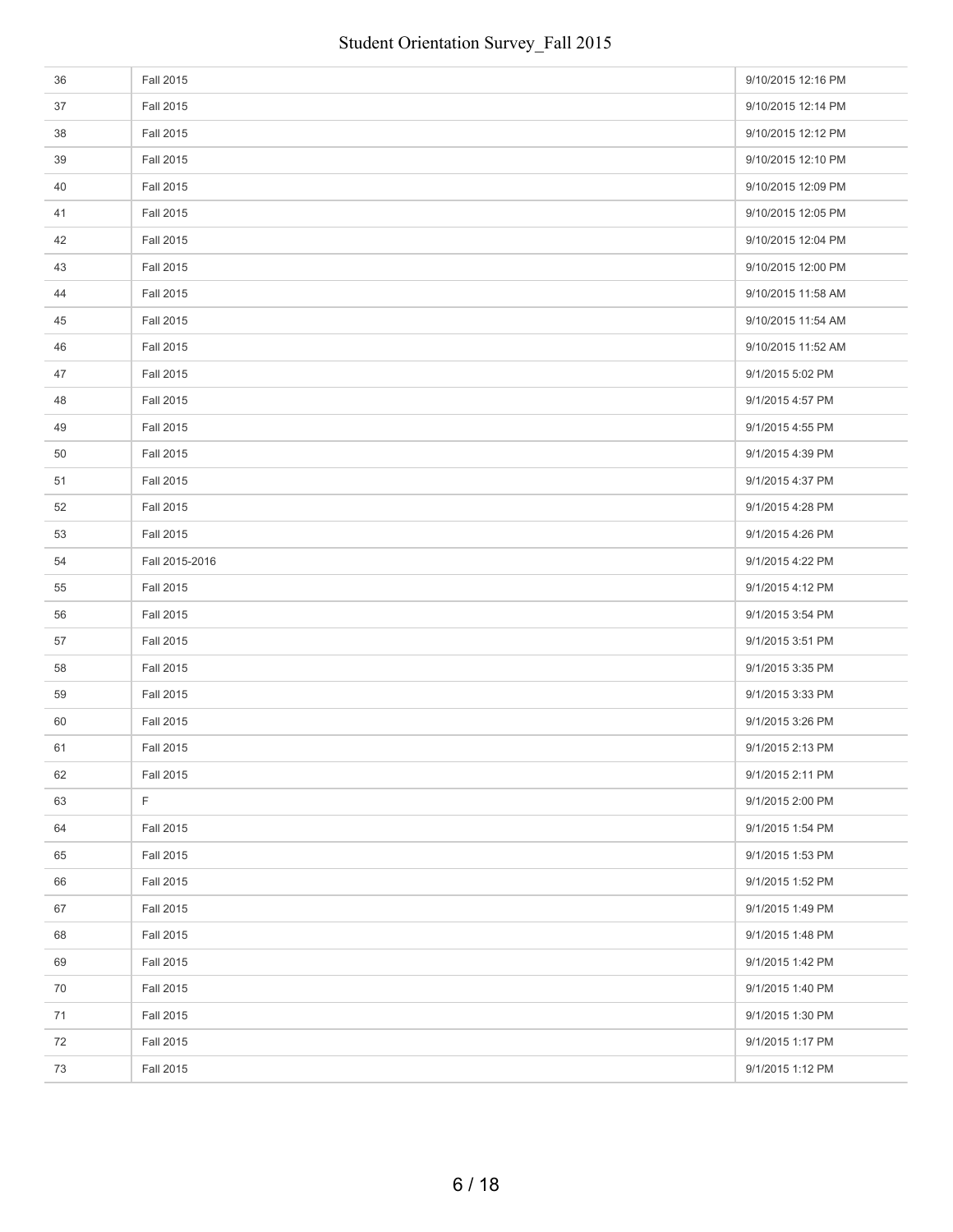| 36 | Fall 2015        | 9/10/2015 12:16 PM |
|----|------------------|--------------------|
| 37 | Fall 2015        | 9/10/2015 12:14 PM |
| 38 | Fall 2015        | 9/10/2015 12:12 PM |
| 39 | <b>Fall 2015</b> | 9/10/2015 12:10 PM |
| 40 | Fall 2015        | 9/10/2015 12:09 PM |
| 41 | <b>Fall 2015</b> | 9/10/2015 12:05 PM |
| 42 | Fall 2015        | 9/10/2015 12:04 PM |
| 43 | <b>Fall 2015</b> | 9/10/2015 12:00 PM |
| 44 | Fall 2015        | 9/10/2015 11:58 AM |
| 45 | Fall 2015        | 9/10/2015 11:54 AM |
| 46 | <b>Fall 2015</b> | 9/10/2015 11:52 AM |
| 47 | Fall 2015        | 9/1/2015 5:02 PM   |
| 48 | <b>Fall 2015</b> | 9/1/2015 4:57 PM   |
| 49 | Fall 2015        | 9/1/2015 4:55 PM   |
| 50 | <b>Fall 2015</b> | 9/1/2015 4:39 PM   |
| 51 | Fall 2015        | 9/1/2015 4:37 PM   |
| 52 | Fall 2015        | 9/1/2015 4:28 PM   |
| 53 | Fall 2015        | 9/1/2015 4:26 PM   |
| 54 | Fall 2015-2016   | 9/1/2015 4:22 PM   |
| 55 | Fall 2015        | 9/1/2015 4:12 PM   |
| 56 | Fall 2015        | 9/1/2015 3:54 PM   |
| 57 | <b>Fall 2015</b> | 9/1/2015 3:51 PM   |
| 58 | Fall 2015        | 9/1/2015 3:35 PM   |
| 59 | <b>Fall 2015</b> | 9/1/2015 3:33 PM   |
| 60 | Fall 2015        | 9/1/2015 3:26 PM   |
| 61 | <b>Fall 2015</b> | 9/1/2015 2:13 PM   |
| 62 | Fall 2015        | 9/1/2015 2:11 PM   |
| 63 | F                | 9/1/2015 2:00 PM   |
| 64 | Fall 2015        | 9/1/2015 1:54 PM   |
| 65 | <b>Fall 2015</b> | 9/1/2015 1:53 PM   |
| 66 | Fall 2015        | 9/1/2015 1:52 PM   |
| 67 | Fall 2015        | 9/1/2015 1:49 PM   |
| 68 | Fall 2015        | 9/1/2015 1:48 PM   |
| 69 | Fall 2015        | 9/1/2015 1:42 PM   |
| 70 | Fall 2015        | 9/1/2015 1:40 PM   |
| 71 | Fall 2015        | 9/1/2015 1:30 PM   |
| 72 | Fall 2015        | 9/1/2015 1:17 PM   |
| 73 | <b>Fall 2015</b> | 9/1/2015 1:12 PM   |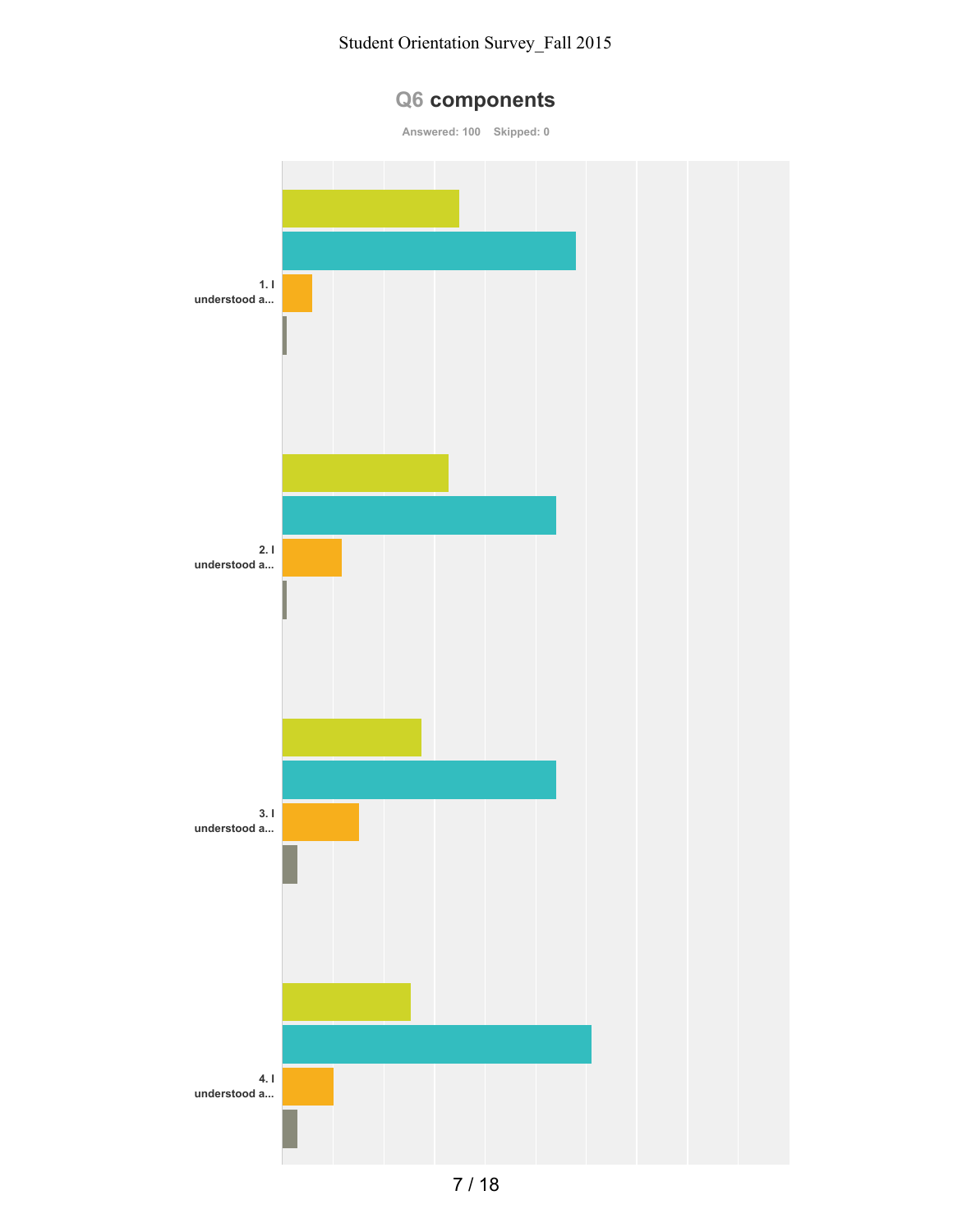

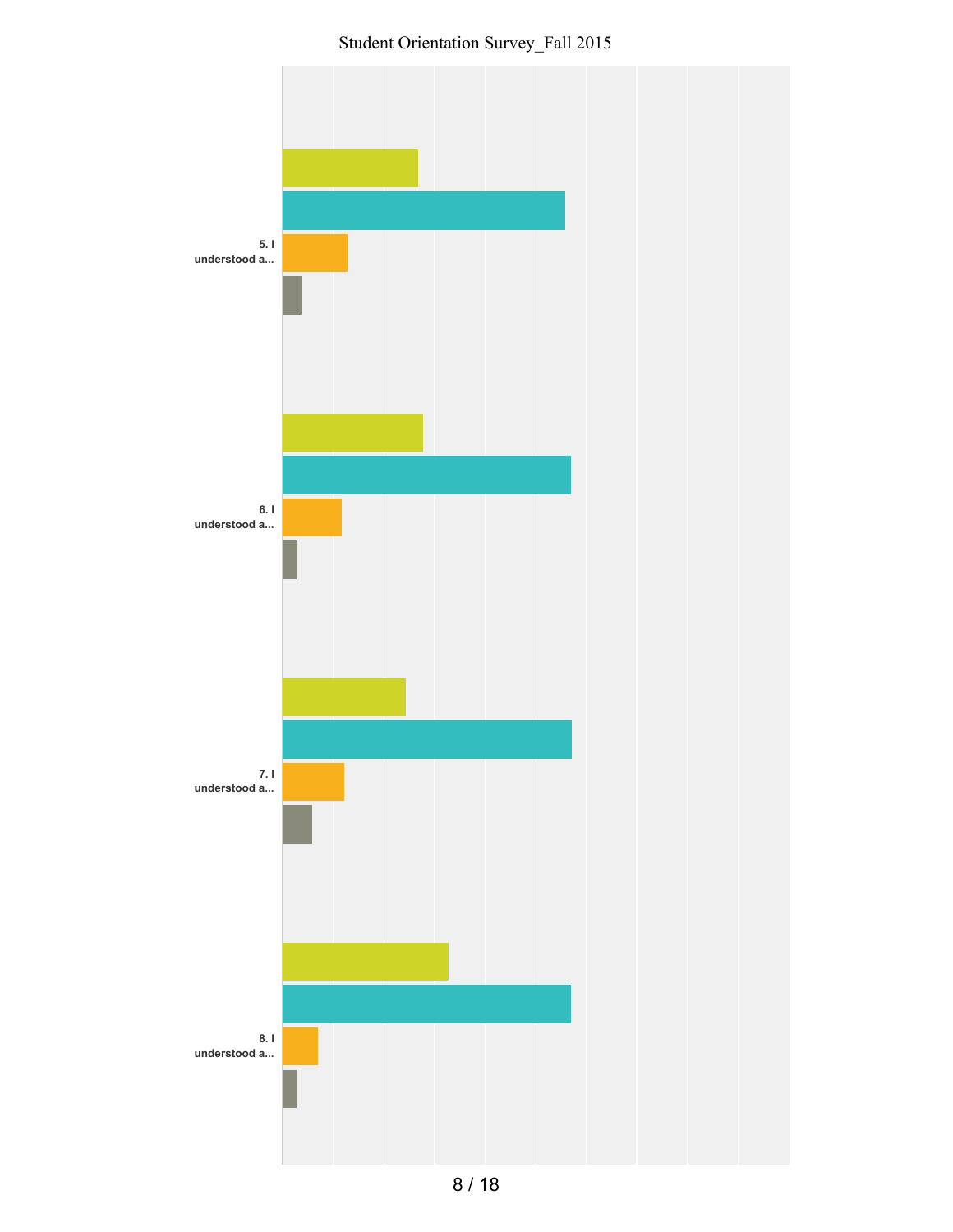Student Orientation Survey\_Fall 2015

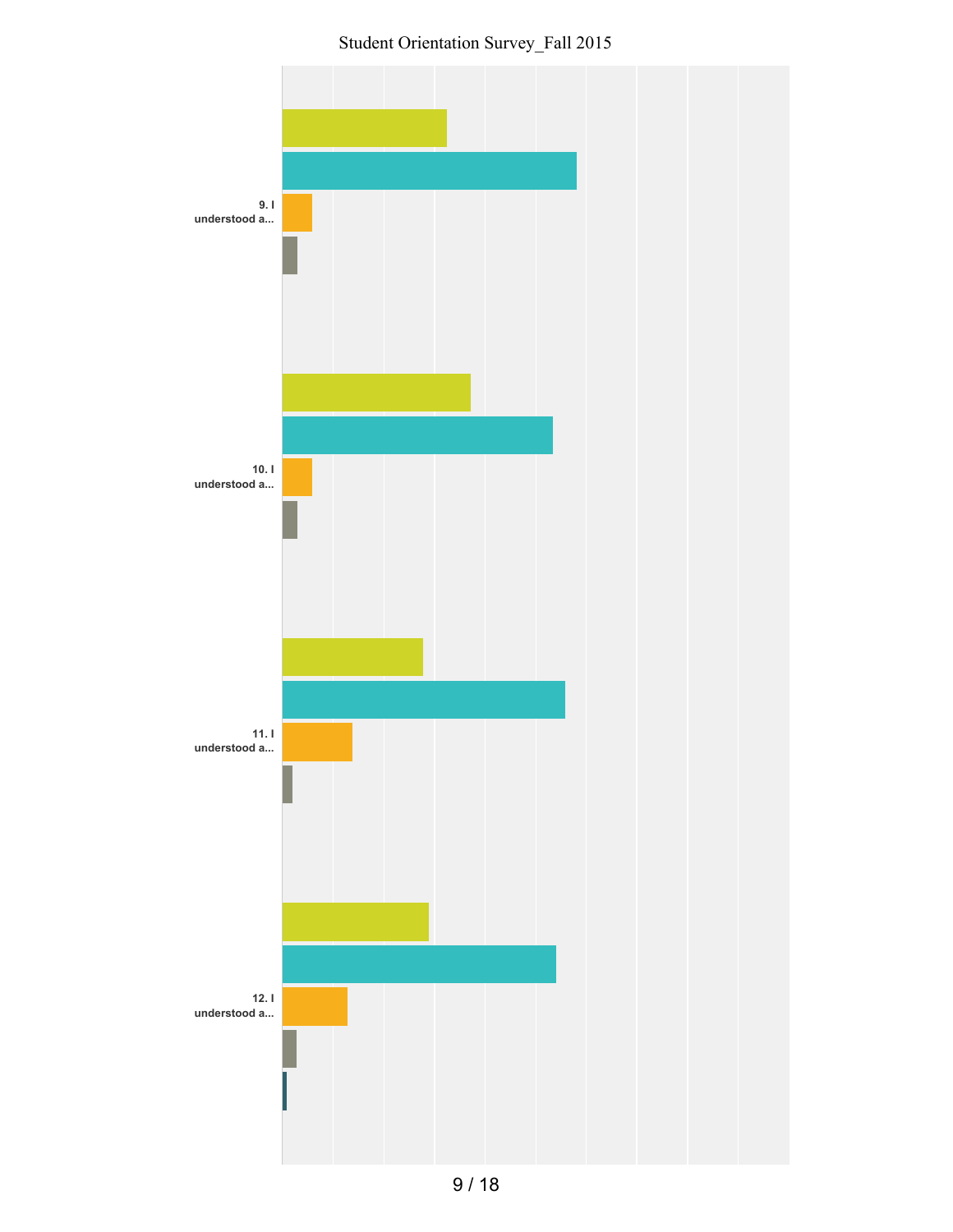Student Orientation Survey\_Fall 2015

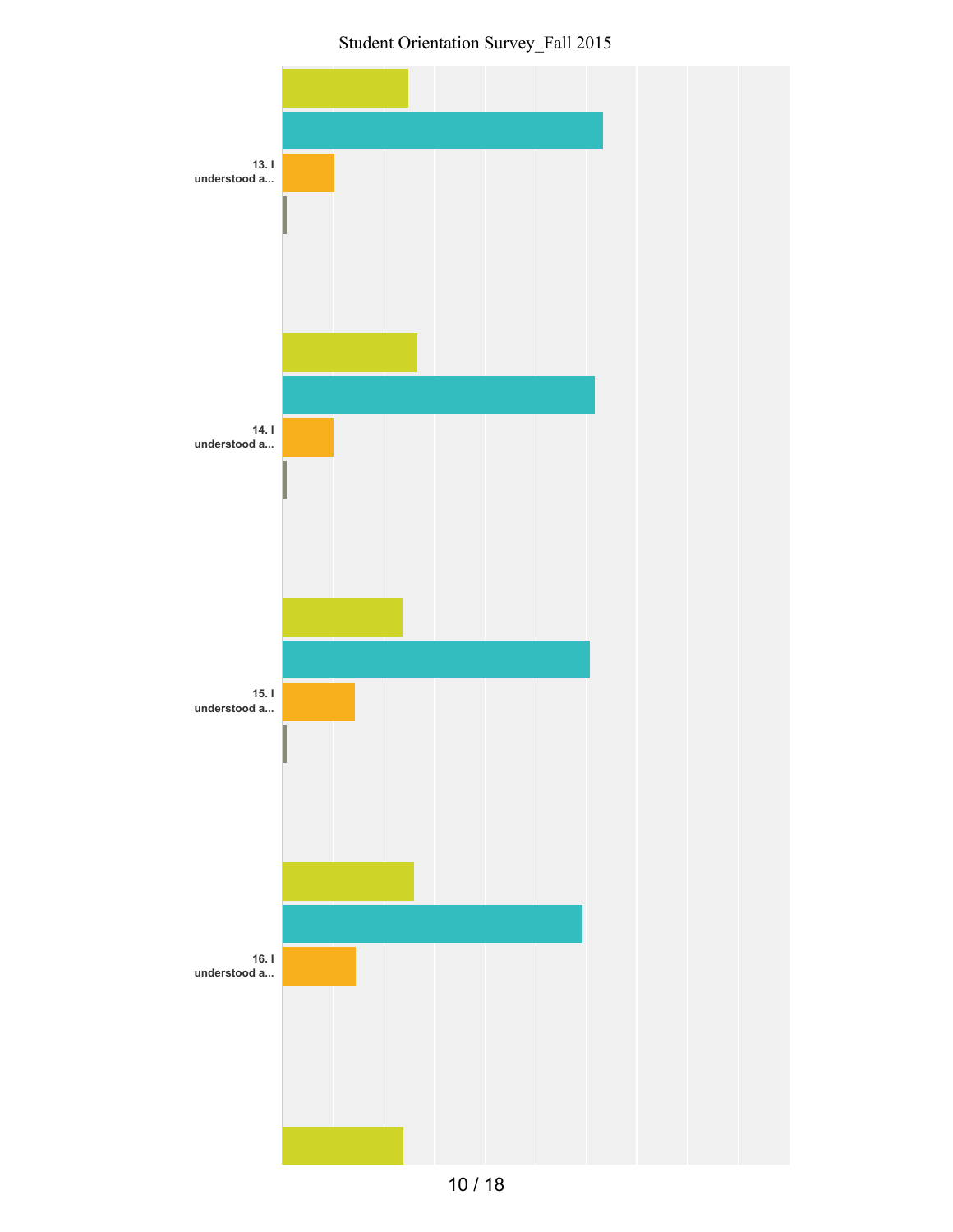Student Orientation Survey\_Fall 2015



10 / 18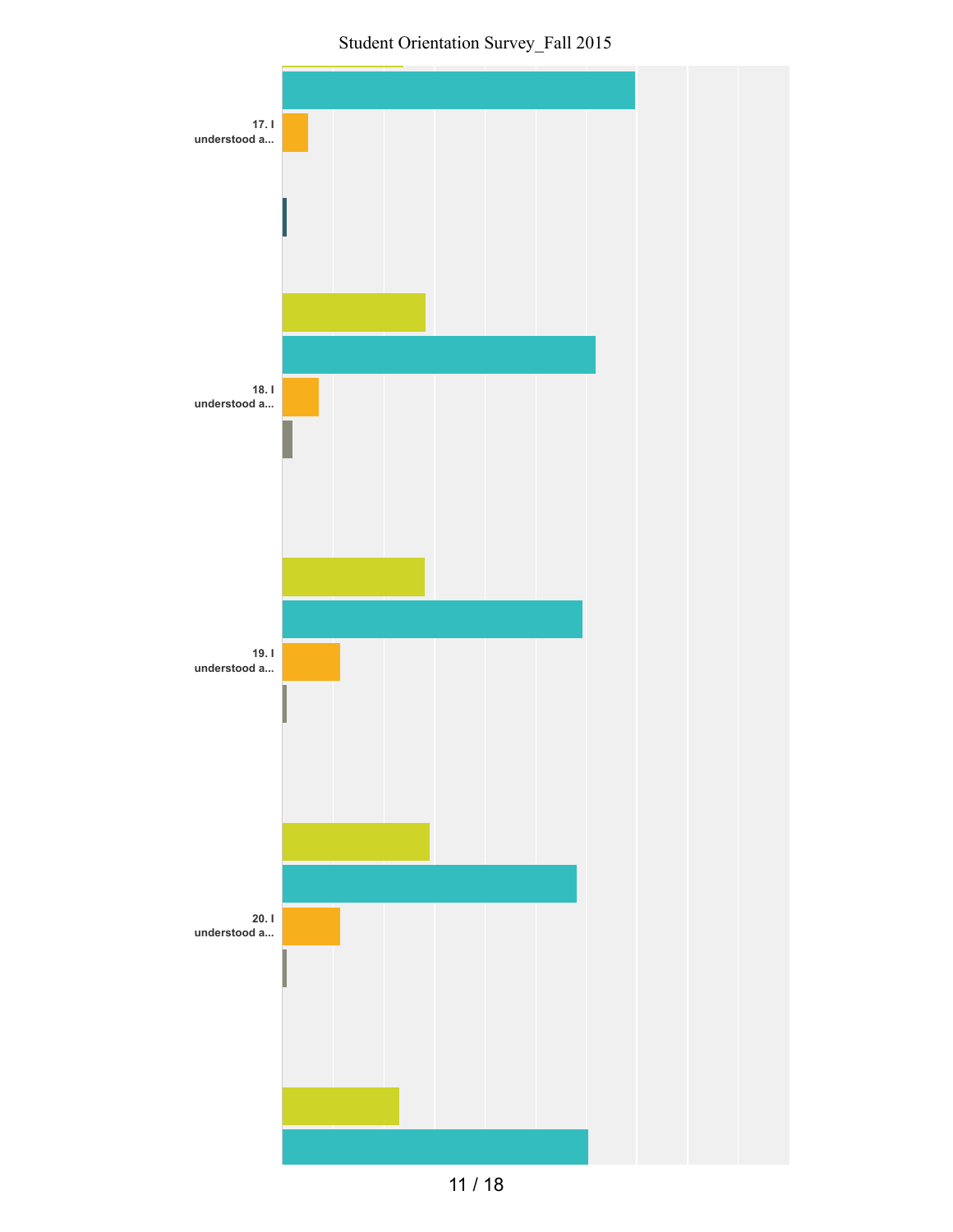



11 / 18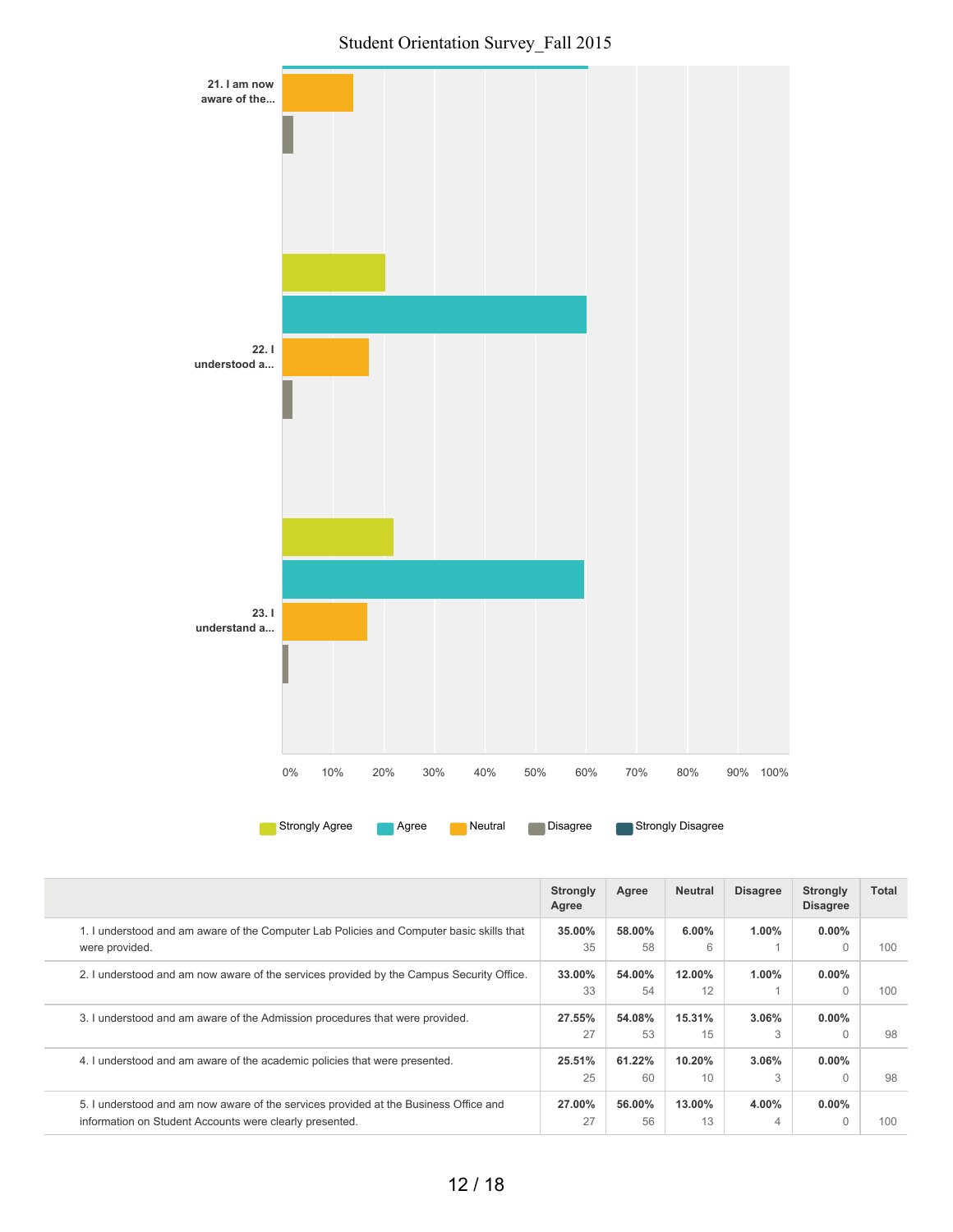

|                                                                                                                                                 | <b>Strongly</b><br>Agree | Agree        | <b>Neutral</b> | <b>Disagree</b> | <b>Strongly</b><br><b>Disagree</b> | Total |
|-------------------------------------------------------------------------------------------------------------------------------------------------|--------------------------|--------------|----------------|-----------------|------------------------------------|-------|
| 1. I understood and am aware of the Computer Lab Policies and Computer basic skills that<br>were provided.                                      | 35.00%<br>35             | 58.00%<br>58 | 6.00%<br>6     | 1.00%           | $0.00\%$<br>$\Omega$               | 100   |
| 2. I understood and am now aware of the services provided by the Campus Security Office.                                                        | 33.00%<br>33             | 54.00%<br>54 | 12.00%<br>12   | 1.00%           | $0.00\%$<br>$\Omega$               | 100   |
| 3. I understood and am aware of the Admission procedures that were provided.                                                                    | 27.55%<br>27             | 54.08%<br>53 | 15.31%<br>15   | 3.06%<br>3      | $0.00\%$<br>$\bigcap$              | 98    |
| 4. I understood and am aware of the academic policies that were presented.                                                                      | 25.51%<br>25             | 61.22%<br>60 | 10.20%<br>10   | 3.06%<br>3      | $0.00\%$                           | 98    |
| 5. I understood and am now aware of the services provided at the Business Office and<br>information on Student Accounts were clearly presented. | 27.00%<br>27             | 56.00%<br>56 | 13.00%<br>13   | $4.00\%$<br>4   | $0.00\%$                           | 100   |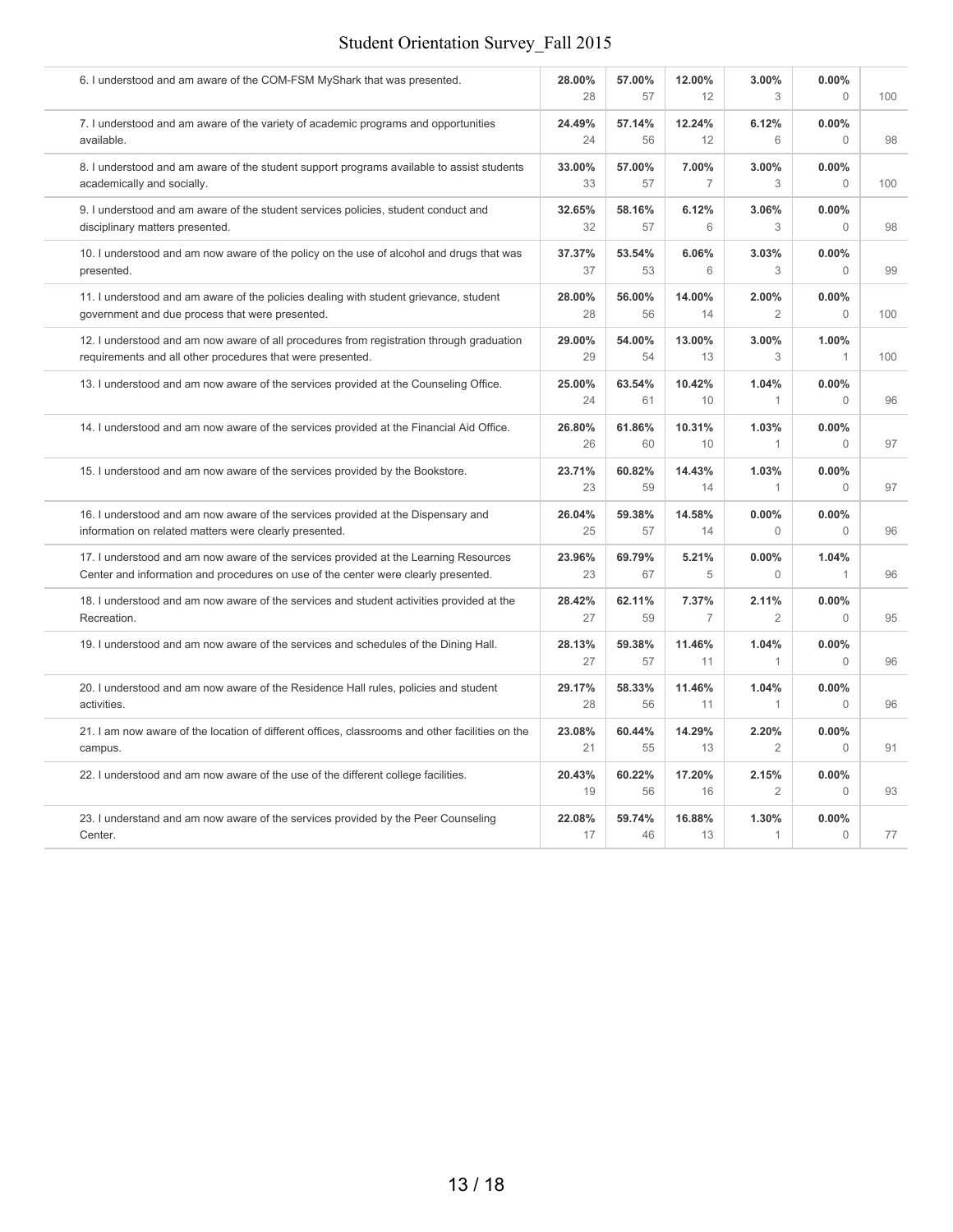| 6. I understood and am aware of the COM-FSM MyShark that was presented.                         | 28.00%<br>28 | 57.00%<br>57 | 12.00%<br>12   | 3.00%<br>3              | 0.00%<br>$\Omega$     | 100 |
|-------------------------------------------------------------------------------------------------|--------------|--------------|----------------|-------------------------|-----------------------|-----|
| 7. I understood and am aware of the variety of academic programs and opportunities              | 24.49%       | 57.14%       | 12.24%         | 6.12%                   | 0.00%                 | 98  |
| available.                                                                                      | 24           | 56           | 12             | 6                       | $\bigcap$             |     |
| 8. I understood and am aware of the student support programs available to assist students       | 33.00%       | 57.00%       | 7.00%          | 3.00%                   | 0.00%                 | 100 |
| academically and socially.                                                                      | 33           | 57           | $\overline{7}$ | 3                       | $\Omega$              |     |
| 9. I understood and am aware of the student services policies, student conduct and              | 32.65%       | 58.16%       | 6.12%          | 3.06%                   | 0.00%                 | 98  |
| disciplinary matters presented.                                                                 | 32           | 57           | 6              | 3                       | $\Omega$              |     |
| 10. I understood and am now aware of the policy on the use of alcohol and drugs that was        | 37.37%       | 53.54%       | 6.06%          | 3.03%                   | 0.00%                 | 99  |
| presented.                                                                                      | 37           | 53           | 6              | 3                       | $\Omega$              |     |
| 11. I understood and am aware of the policies dealing with student grievance, student           | 28.00%       | 56.00%       | 14.00%         | 2.00%                   | 0.00%                 | 100 |
| government and due process that were presented.                                                 | 28           | 56           | 14             | $\overline{2}$          | $\Omega$              |     |
| 12. I understood and am now aware of all procedures from registration through graduation        | 29.00%       | 54.00%       | 13.00%         | 3.00%                   | 1.00%                 | 100 |
| requirements and all other procedures that were presented.                                      | 29           | 54           | 13             | 3                       | 1                     |     |
| 13. I understood and am now aware of the services provided at the Counseling Office.            | 25.00%<br>24 | 63.54%<br>61 | 10.42%<br>10   | 1.04%<br>$\mathbf{1}$   | 0.00%<br>$\Omega$     | 96  |
| 14. I understood and am now aware of the services provided at the Financial Aid Office.         | 26.80%<br>26 | 61.86%<br>60 | 10.31%<br>10   | 1.03%<br>1              | 0.00%<br>$\mathbf{0}$ | 97  |
| 15. I understood and am now aware of the services provided by the Bookstore.                    | 23.71%<br>23 | 60.82%<br>59 | 14.43%<br>14   | 1.03%<br>1              | 0.00%<br>$\theta$     | 97  |
| 16. I understood and am now aware of the services provided at the Dispensary and                | 26.04%       | 59.38%       | 14.58%         | 0.00%                   | 0.00%                 | 96  |
| information on related matters were clearly presented.                                          | 25           | 57           | 14             | $\mathbf{0}$            | $\Omega$              |     |
| 17. I understood and am now aware of the services provided at the Learning Resources            | 23.96%       | 69.79%       | 5.21%          | 0.00%                   | 1.04%                 | 96  |
| Center and information and procedures on use of the center were clearly presented.              | 23           | 67           | 5              | $\Omega$                | $\mathbf{1}$          |     |
| 18. I understood and am now aware of the services and student activities provided at the        | 28.42%       | 62.11%       | 7.37%          | 2.11%                   | 0.00%                 | 95  |
| Recreation.                                                                                     | 27           | 59           | $\overline{7}$ | $\overline{2}$          | $\Omega$              |     |
| 19. I understood and am now aware of the services and schedules of the Dining Hall.             | 28.13%<br>27 | 59.38%<br>57 | 11.46%<br>11   | 1.04%<br>1              | 0.00%<br>$\Omega$     | 96  |
| 20. I understood and am now aware of the Residence Hall rules, policies and student             | 29.17%       | 58.33%       | 11.46%         | 1.04%                   | 0.00%                 | 96  |
| activities.                                                                                     | 28           | 56           | 11             | 1                       | $\Omega$              |     |
| 21. I am now aware of the location of different offices, classrooms and other facilities on the | 23.08%       | 60.44%       | 14.29%         | 2.20%                   | 0.00%                 | 91  |
| campus.                                                                                         | 21           | 55           | 13             | $\overline{2}$          | $\Omega$              |     |
| 22. I understood and am now aware of the use of the different college facilities.               | 20.43%<br>19 | 60.22%<br>56 | 17.20%<br>16   | 2.15%<br>$\overline{2}$ | 0.00%<br>$\Omega$     | 93  |
| 23. I understand and am now aware of the services provided by the Peer Counseling               | 22.08%       | 59.74%       | 16.88%         | 1.30%                   | 0.00%                 | 77  |
| Center.                                                                                         | 17           | 46           | 13             | 1                       | $\overline{0}$        |     |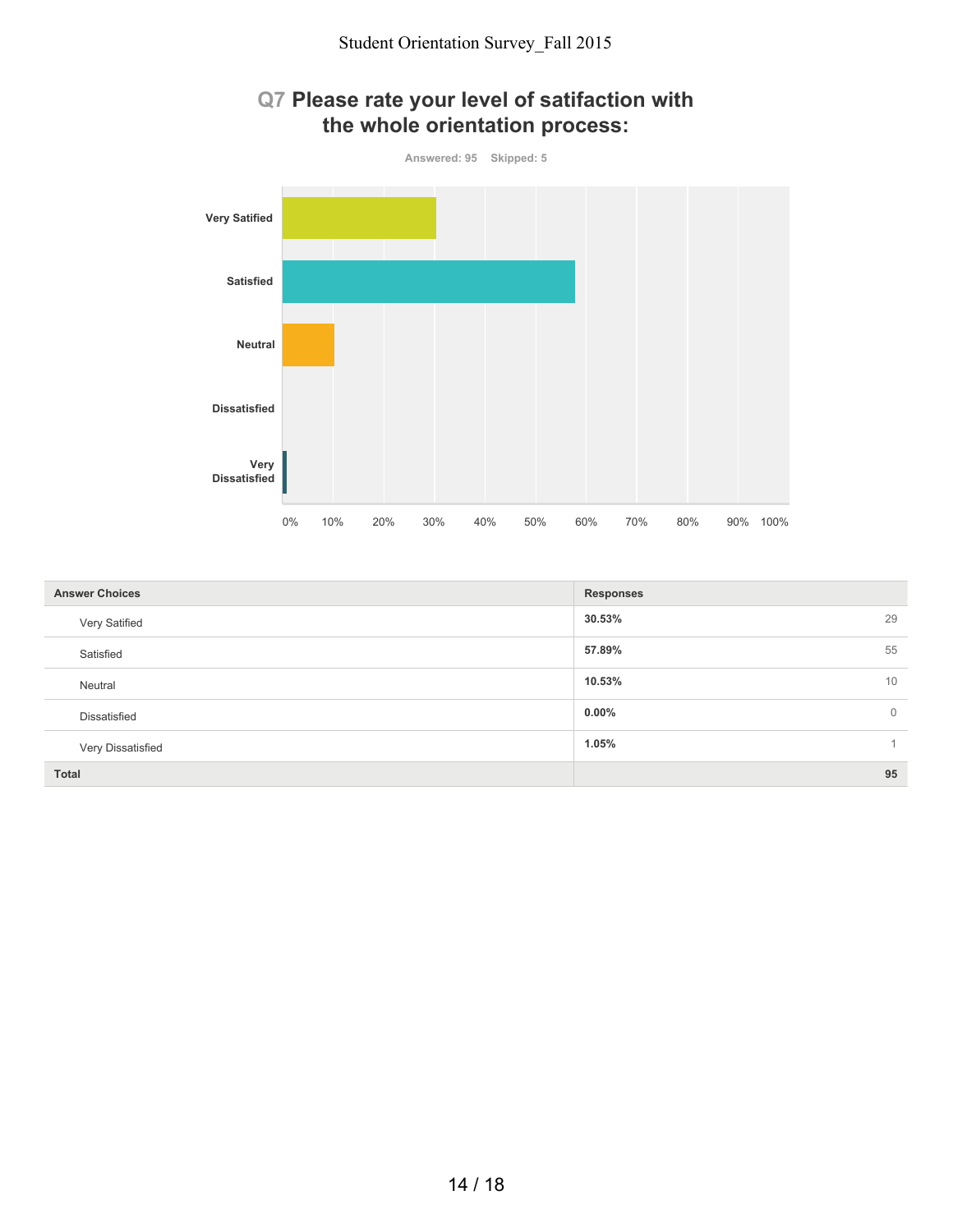

| <b>Answer Choices</b> | <b>Responses</b>           |
|-----------------------|----------------------------|
| Very Satified         | 29<br>30.53%               |
| Satisfied             | 55<br>57.89%               |
| Neutral               | 10.53%<br>10               |
| Dissatisfied          | $0.00\%$<br>$\overline{0}$ |
| Very Dissatisfied     | 1.05%                      |
| <b>Total</b>          | 95                         |

# **Q7 Please rate your level of satifaction with**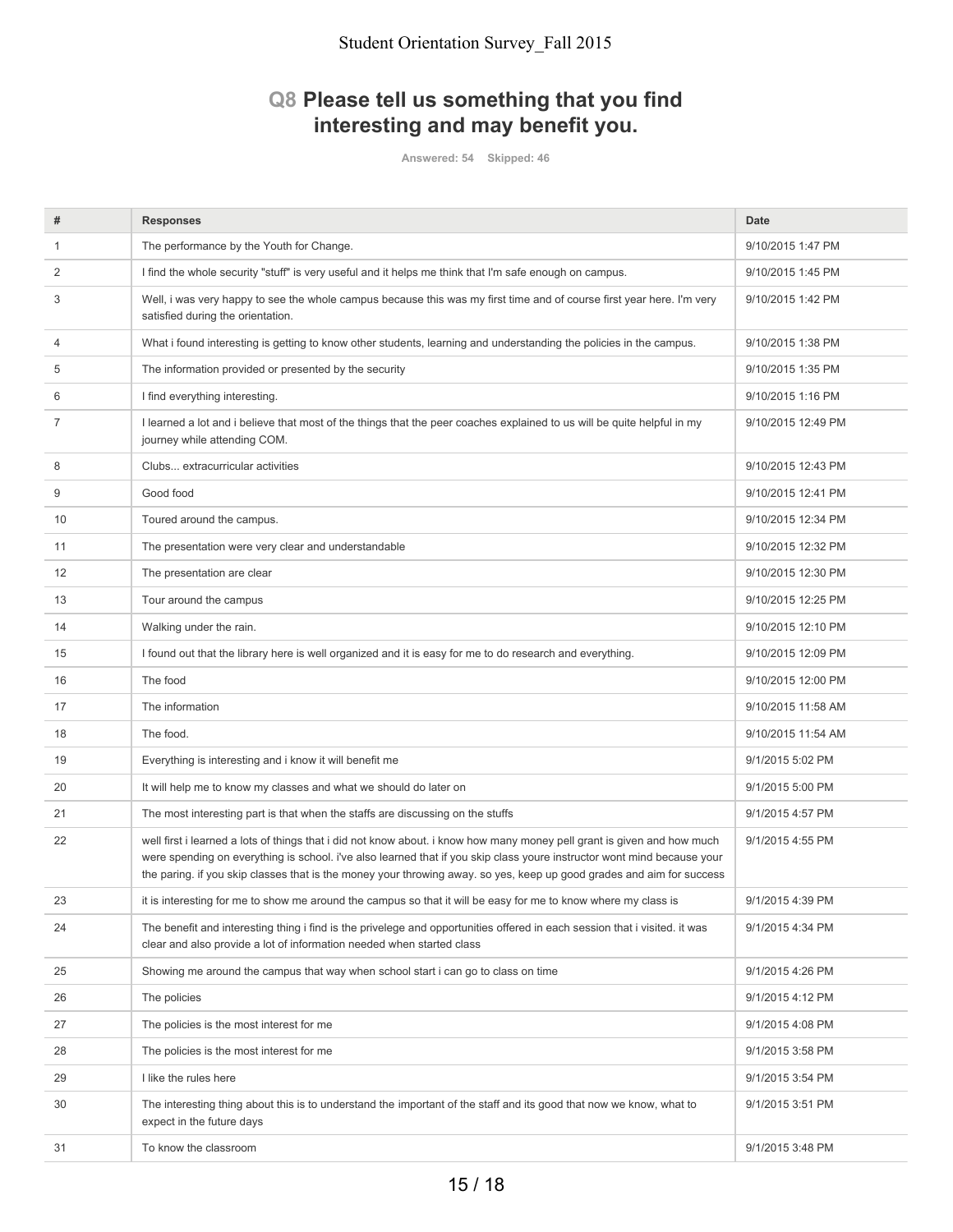# **Q8 Please tell us something that you find interesting and may benefit you.**

**Answered: 54 Skipped: 46**

| #  | <b>Responses</b>                                                                                                                                                                                                                                                                                                                                                            | <b>Date</b>        |
|----|-----------------------------------------------------------------------------------------------------------------------------------------------------------------------------------------------------------------------------------------------------------------------------------------------------------------------------------------------------------------------------|--------------------|
| 1  | The performance by the Youth for Change.                                                                                                                                                                                                                                                                                                                                    | 9/10/2015 1:47 PM  |
| 2  | I find the whole security "stuff" is very useful and it helps me think that I'm safe enough on campus.                                                                                                                                                                                                                                                                      | 9/10/2015 1:45 PM  |
| 3  | Well, i was very happy to see the whole campus because this was my first time and of course first year here. I'm very<br>satisfied during the orientation.                                                                                                                                                                                                                  | 9/10/2015 1:42 PM  |
| 4  | What i found interesting is getting to know other students, learning and understanding the policies in the campus.                                                                                                                                                                                                                                                          | 9/10/2015 1:38 PM  |
| 5  | The information provided or presented by the security                                                                                                                                                                                                                                                                                                                       | 9/10/2015 1:35 PM  |
| 6  | I find everything interesting.                                                                                                                                                                                                                                                                                                                                              | 9/10/2015 1:16 PM  |
| 7  | I learned a lot and i believe that most of the things that the peer coaches explained to us will be quite helpful in my<br>journey while attending COM.                                                                                                                                                                                                                     | 9/10/2015 12:49 PM |
| 8  | Clubs extracurricular activities                                                                                                                                                                                                                                                                                                                                            | 9/10/2015 12:43 PM |
| 9  | Good food                                                                                                                                                                                                                                                                                                                                                                   | 9/10/2015 12:41 PM |
| 10 | Toured around the campus.                                                                                                                                                                                                                                                                                                                                                   | 9/10/2015 12:34 PM |
| 11 | The presentation were very clear and understandable                                                                                                                                                                                                                                                                                                                         | 9/10/2015 12:32 PM |
| 12 | The presentation are clear                                                                                                                                                                                                                                                                                                                                                  | 9/10/2015 12:30 PM |
| 13 | Tour around the campus                                                                                                                                                                                                                                                                                                                                                      | 9/10/2015 12:25 PM |
| 14 | Walking under the rain.                                                                                                                                                                                                                                                                                                                                                     | 9/10/2015 12:10 PM |
| 15 | I found out that the library here is well organized and it is easy for me to do research and everything.                                                                                                                                                                                                                                                                    | 9/10/2015 12:09 PM |
| 16 | The food                                                                                                                                                                                                                                                                                                                                                                    | 9/10/2015 12:00 PM |
| 17 | The information                                                                                                                                                                                                                                                                                                                                                             | 9/10/2015 11:58 AM |
| 18 | The food.                                                                                                                                                                                                                                                                                                                                                                   | 9/10/2015 11:54 AM |
| 19 | Everything is interesting and i know it will benefit me                                                                                                                                                                                                                                                                                                                     | 9/1/2015 5:02 PM   |
| 20 | It will help me to know my classes and what we should do later on                                                                                                                                                                                                                                                                                                           | 9/1/2015 5:00 PM   |
| 21 | The most interesting part is that when the staffs are discussing on the stuffs                                                                                                                                                                                                                                                                                              | 9/1/2015 4:57 PM   |
| 22 | well first i learned a lots of things that i did not know about. I know how many money pell grant is given and how much<br>were spending on everything is school. i've also learned that if you skip class youre instructor wont mind because your<br>the paring. if you skip classes that is the money your throwing away. so yes, keep up good grades and aim for success | 9/1/2015 4:55 PM   |
| 23 | it is interesting for me to show me around the campus so that it will be easy for me to know where my class is                                                                                                                                                                                                                                                              | 9/1/2015 4:39 PM   |
| 24 | The benefit and interesting thing i find is the privelege and opportunities offered in each session that i visited. it was<br>clear and also provide a lot of information needed when started class                                                                                                                                                                         | 9/1/2015 4:34 PM   |
| 25 | Showing me around the campus that way when school start i can go to class on time                                                                                                                                                                                                                                                                                           | 9/1/2015 4:26 PM   |
| 26 | The policies                                                                                                                                                                                                                                                                                                                                                                | 9/1/2015 4:12 PM   |
| 27 | The policies is the most interest for me                                                                                                                                                                                                                                                                                                                                    | 9/1/2015 4:08 PM   |
| 28 | The policies is the most interest for me                                                                                                                                                                                                                                                                                                                                    | 9/1/2015 3:58 PM   |
| 29 | I like the rules here                                                                                                                                                                                                                                                                                                                                                       | 9/1/2015 3:54 PM   |
| 30 | The interesting thing about this is to understand the important of the staff and its good that now we know, what to<br>expect in the future days                                                                                                                                                                                                                            | 9/1/2015 3:51 PM   |
| 31 | To know the classroom                                                                                                                                                                                                                                                                                                                                                       | 9/1/2015 3:48 PM   |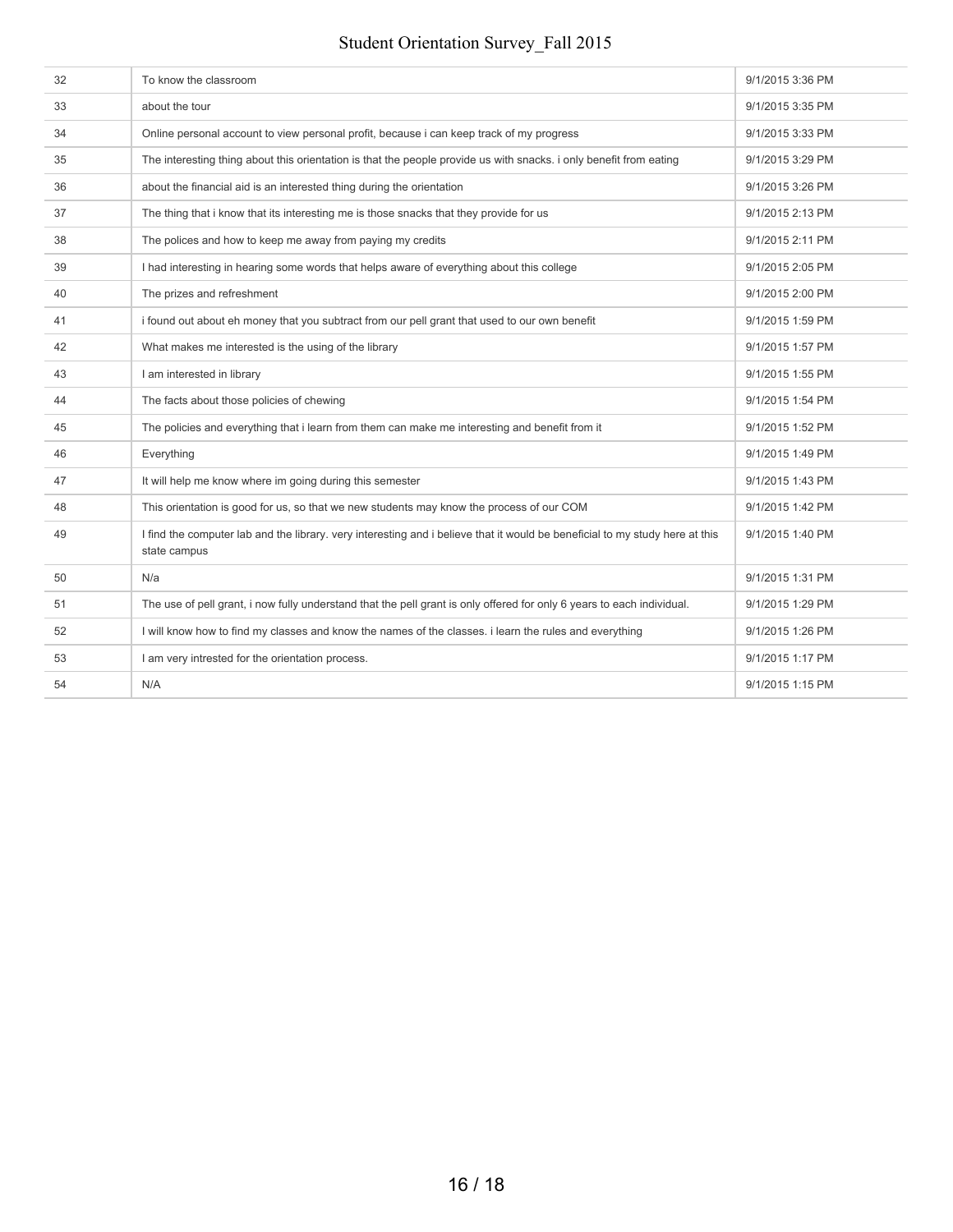| 32 | To know the classroom                                                                                                                        | 9/1/2015 3:36 PM |
|----|----------------------------------------------------------------------------------------------------------------------------------------------|------------------|
| 33 | about the tour                                                                                                                               | 9/1/2015 3:35 PM |
| 34 | Online personal account to view personal profit, because i can keep track of my progress                                                     | 9/1/2015 3:33 PM |
| 35 | The interesting thing about this orientation is that the people provide us with snacks. i only benefit from eating                           | 9/1/2015 3:29 PM |
| 36 | about the financial aid is an interested thing during the orientation                                                                        | 9/1/2015 3:26 PM |
| 37 | The thing that i know that its interesting me is those snacks that they provide for us                                                       | 9/1/2015 2:13 PM |
| 38 | The polices and how to keep me away from paying my credits                                                                                   | 9/1/2015 2:11 PM |
| 39 | I had interesting in hearing some words that helps aware of everything about this college                                                    | 9/1/2015 2:05 PM |
| 40 | The prizes and refreshment                                                                                                                   | 9/1/2015 2:00 PM |
| 41 | i found out about eh money that you subtract from our pell grant that used to our own benefit                                                | 9/1/2015 1:59 PM |
| 42 | What makes me interested is the using of the library                                                                                         | 9/1/2015 1:57 PM |
| 43 | I am interested in library                                                                                                                   | 9/1/2015 1:55 PM |
| 44 | The facts about those policies of chewing                                                                                                    | 9/1/2015 1:54 PM |
| 45 | The policies and everything that i learn from them can make me interesting and benefit from it                                               | 9/1/2015 1:52 PM |
| 46 | Everything                                                                                                                                   | 9/1/2015 1:49 PM |
| 47 | It will help me know where im going during this semester                                                                                     | 9/1/2015 1:43 PM |
| 48 | This orientation is good for us, so that we new students may know the process of our COM                                                     | 9/1/2015 1:42 PM |
| 49 | I find the computer lab and the library, very interesting and i believe that it would be beneficial to my study here at this<br>state campus | 9/1/2015 1:40 PM |
| 50 | N/a                                                                                                                                          | 9/1/2015 1:31 PM |
| 51 | The use of pell grant, i now fully understand that the pell grant is only offered for only 6 years to each individual.                       | 9/1/2015 1:29 PM |
| 52 | I will know how to find my classes and know the names of the classes. i learn the rules and everything                                       | 9/1/2015 1:26 PM |
| 53 | I am very intrested for the orientation process.                                                                                             | 9/1/2015 1:17 PM |
| 54 | N/A                                                                                                                                          | 9/1/2015 1:15 PM |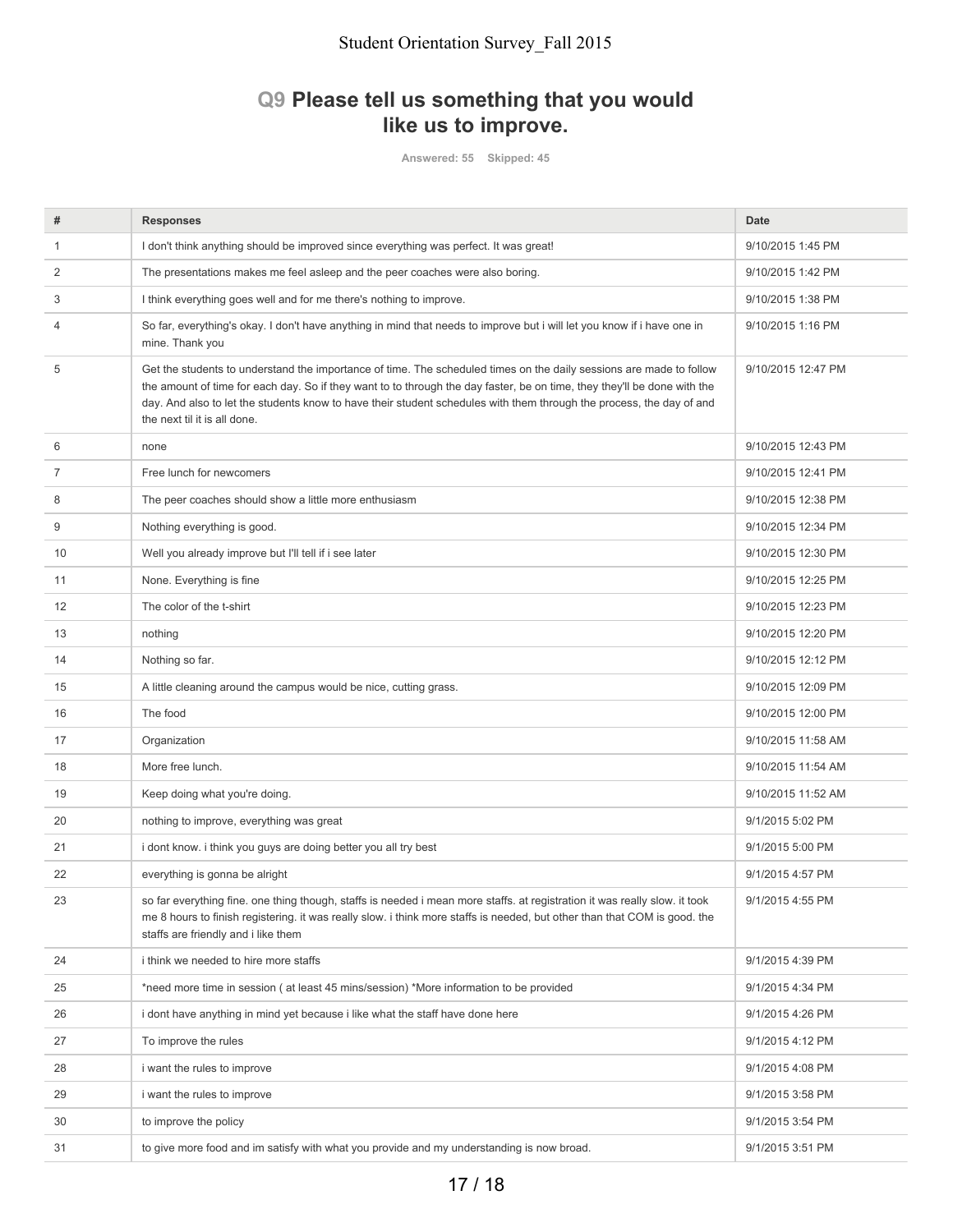# **Q9 Please tell us something that you would like us to improve.**

**Answered: 55 Skipped: 45**

| #  | <b>Responses</b>                                                                                                                                                                                                                                                                                                                                                                                        | Date               |
|----|---------------------------------------------------------------------------------------------------------------------------------------------------------------------------------------------------------------------------------------------------------------------------------------------------------------------------------------------------------------------------------------------------------|--------------------|
| 1  | I don't think anything should be improved since everything was perfect. It was great!                                                                                                                                                                                                                                                                                                                   | 9/10/2015 1:45 PM  |
| 2  | The presentations makes me feel asleep and the peer coaches were also boring.                                                                                                                                                                                                                                                                                                                           | 9/10/2015 1:42 PM  |
| 3  | I think everything goes well and for me there's nothing to improve.                                                                                                                                                                                                                                                                                                                                     | 9/10/2015 1:38 PM  |
| 4  | So far, everything's okay. I don't have anything in mind that needs to improve but i will let you know if i have one in<br>mine. Thank you                                                                                                                                                                                                                                                              | 9/10/2015 1:16 PM  |
| 5  | Get the students to understand the importance of time. The scheduled times on the daily sessions are made to follow<br>the amount of time for each day. So if they want to to through the day faster, be on time, they they'll be done with the<br>day. And also to let the students know to have their student schedules with them through the process, the day of and<br>the next til it is all done. | 9/10/2015 12:47 PM |
| 6  | none                                                                                                                                                                                                                                                                                                                                                                                                    | 9/10/2015 12:43 PM |
| 7  | Free lunch for newcomers                                                                                                                                                                                                                                                                                                                                                                                | 9/10/2015 12:41 PM |
| 8  | The peer coaches should show a little more enthusiasm                                                                                                                                                                                                                                                                                                                                                   | 9/10/2015 12:38 PM |
| 9  | Nothing everything is good.                                                                                                                                                                                                                                                                                                                                                                             | 9/10/2015 12:34 PM |
| 10 | Well you already improve but I'll tell if i see later                                                                                                                                                                                                                                                                                                                                                   | 9/10/2015 12:30 PM |
| 11 | None. Everything is fine                                                                                                                                                                                                                                                                                                                                                                                | 9/10/2015 12:25 PM |
| 12 | The color of the t-shirt                                                                                                                                                                                                                                                                                                                                                                                | 9/10/2015 12:23 PM |
| 13 | nothing                                                                                                                                                                                                                                                                                                                                                                                                 | 9/10/2015 12:20 PM |
| 14 | Nothing so far.                                                                                                                                                                                                                                                                                                                                                                                         | 9/10/2015 12:12 PM |
| 15 | A little cleaning around the campus would be nice, cutting grass.                                                                                                                                                                                                                                                                                                                                       | 9/10/2015 12:09 PM |
| 16 | The food                                                                                                                                                                                                                                                                                                                                                                                                | 9/10/2015 12:00 PM |
| 17 | Organization                                                                                                                                                                                                                                                                                                                                                                                            | 9/10/2015 11:58 AM |
| 18 | More free lunch.                                                                                                                                                                                                                                                                                                                                                                                        | 9/10/2015 11:54 AM |
| 19 | Keep doing what you're doing.                                                                                                                                                                                                                                                                                                                                                                           | 9/10/2015 11:52 AM |
| 20 | nothing to improve, everything was great                                                                                                                                                                                                                                                                                                                                                                | 9/1/2015 5:02 PM   |
| 21 | i dont know. i think you guys are doing better you all try best                                                                                                                                                                                                                                                                                                                                         | 9/1/2015 5:00 PM   |
| 22 | everything is gonna be alright                                                                                                                                                                                                                                                                                                                                                                          | 9/1/2015 4:57 PM   |
| 23 | so far everything fine. one thing though, staffs is needed i mean more staffs. at registration it was really slow. it took<br>me 8 hours to finish registering. it was really slow. i think more staffs is needed, but other than that COM is good. the<br>staffs are friendly and i like them                                                                                                          | 9/1/2015 4:55 PM   |
| 24 | i think we needed to hire more staffs                                                                                                                                                                                                                                                                                                                                                                   | 9/1/2015 4:39 PM   |
| 25 | *need more time in session (at least 45 mins/session) *More information to be provided                                                                                                                                                                                                                                                                                                                  | 9/1/2015 4:34 PM   |
| 26 | i dont have anything in mind yet because i like what the staff have done here                                                                                                                                                                                                                                                                                                                           | 9/1/2015 4:26 PM   |
| 27 | To improve the rules                                                                                                                                                                                                                                                                                                                                                                                    | 9/1/2015 4:12 PM   |
| 28 | i want the rules to improve                                                                                                                                                                                                                                                                                                                                                                             | 9/1/2015 4:08 PM   |
| 29 | i want the rules to improve                                                                                                                                                                                                                                                                                                                                                                             | 9/1/2015 3:58 PM   |
| 30 | to improve the policy                                                                                                                                                                                                                                                                                                                                                                                   | 9/1/2015 3:54 PM   |
| 31 | to give more food and im satisfy with what you provide and my understanding is now broad.                                                                                                                                                                                                                                                                                                               | 9/1/2015 3:51 PM   |